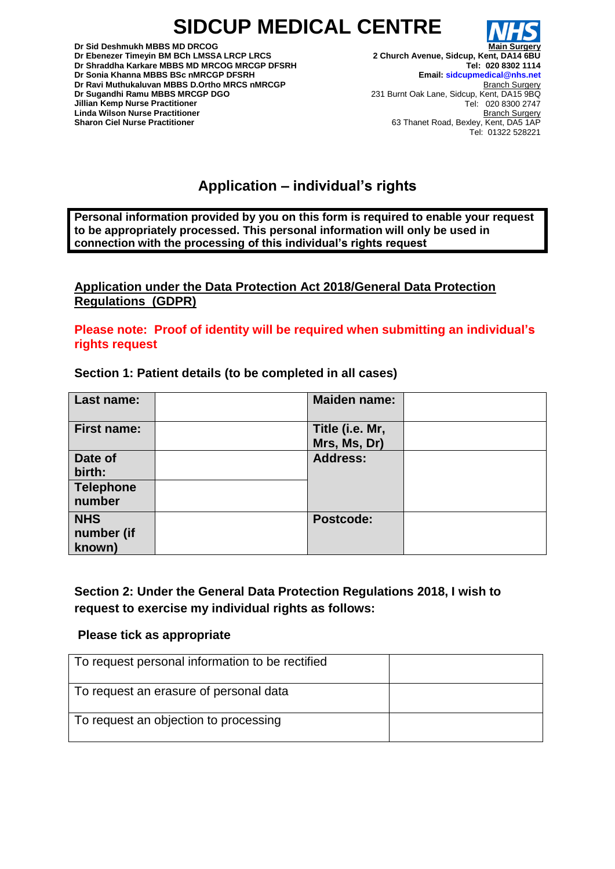# **SIDCUP MEDICAL CENTRE**



**Main Surgery 2 Church Avenue, Sidcup, Kent, DA14 6BU Tel: 020 8302 1114 Email: sidcupmedical@nhs.net** Branch Surgery 231 Burnt Oak Lane, Sidcup, Kent, DA15 9BQ Tel: 020 8300 2747 Branch Surgery 63 Thanet Road, Bexley, Kent, DA5 1AP Tel: 01322 528221

# **Application – individual's rights**

**Personal information provided by you on this form is required to enable your request to be appropriately processed. This personal information will only be used in connection with the processing of this individual's rights request**

**Application under the Data Protection Act 2018/General Data Protection Regulations (GDPR)** 

**Please note: Proof of identity will be required when submitting an individual's rights request** 

#### **Section 1: Patient details (to be completed in all cases)**

| Last name:         | <b>Maiden name:</b> |  |
|--------------------|---------------------|--|
| <b>First name:</b> | Title (i.e. Mr,     |  |
|                    | Mrs, Ms, Dr)        |  |
| Date of            | <b>Address:</b>     |  |
| birth:             |                     |  |
| Telephone          |                     |  |
| number             |                     |  |
| <b>NHS</b>         | <b>Postcode:</b>    |  |
| number (if         |                     |  |
| known)             |                     |  |

**Section 2: Under the General Data Protection Regulations 2018, I wish to request to exercise my individual rights as follows:** 

#### **Please tick as appropriate**

| To request personal information to be rectified |  |
|-------------------------------------------------|--|
| To request an erasure of personal data          |  |
| To request an objection to processing           |  |

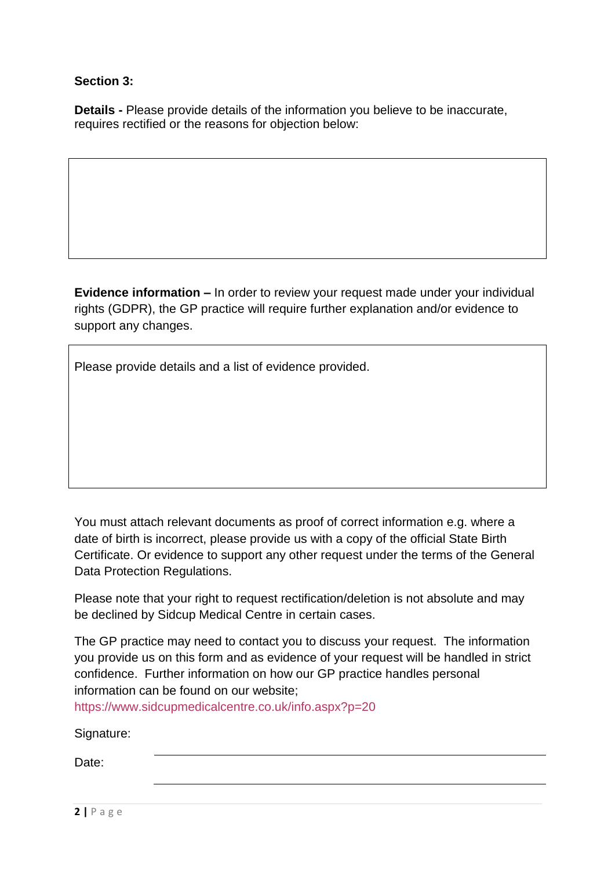### **Section 3:**

**Details -** Please provide details of the information you believe to be inaccurate, requires rectified or the reasons for objection below:

**Evidence information –** In order to review your request made under your individual rights (GDPR), the GP practice will require further explanation and/or evidence to support any changes.

Please provide details and a list of evidence provided.

You must attach relevant documents as proof of correct information e.g. where a date of birth is incorrect, please provide us with a copy of the official State Birth Certificate. Or evidence to support any other request under the terms of the General Data Protection Regulations.

Please note that your right to request rectification/deletion is not absolute and may be declined by Sidcup Medical Centre in certain cases.

The GP practice may need to contact you to discuss your request. The information you provide us on this form and as evidence of your request will be handled in strict confidence. Further information on how our GP practice handles personal information can be found on our website;

<https://www.sidcupmedicalcentre.co.uk/info.aspx?p=20>

Signature:

Date: